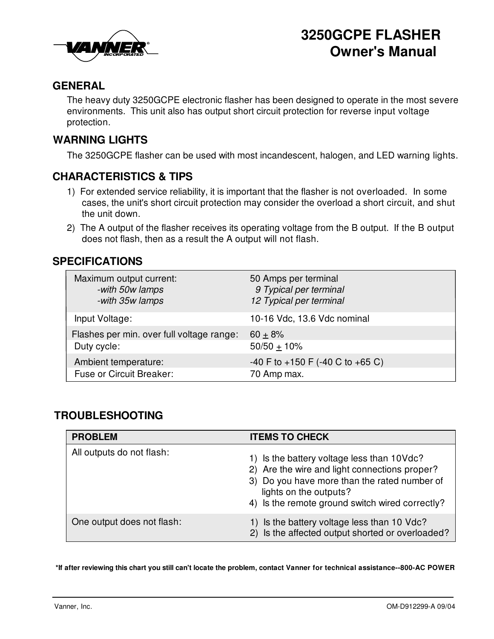

# **3250GCPE FLASHER Owner's Manual**

## **GENERAL**

The heavy duty 3250GCPE electronic flasher has been designed to operate in the most severe environments. This unit also has output short circuit protection for reverse input voltage protection.

#### **WARNING LIGHTS**

The 3250GCPE flasher can be used with most incandescent, halogen, and LED warning lights.

#### **CHARACTERISTICS & TIPS**

- 1) For extended service reliability, it is important that the flasher is not overloaded. In some cases, the unit's short circuit protection may consider the overload a short circuit, and shut the unit down.
- 2) The A output of the flasher receives its operating voltage from the B output. If the B output does not flash, then as a result the A output will not flash.

#### **SPECIFICATIONS**

| Maximum output current:<br>-with 50w lamps<br>-with 35w lamps | 50 Amps per terminal<br>9 Typical per terminal<br>12 Typical per terminal |
|---------------------------------------------------------------|---------------------------------------------------------------------------|
| Input Voltage:                                                | 10-16 Vdc, 13.6 Vdc nominal                                               |
| Flashes per min. over full voltage range:                     | $60 + 8%$                                                                 |
| Duty cycle:                                                   | 50/50 $\pm$ 10%                                                           |
| Ambient temperature:                                          | -40 F to +150 F (-40 C to +65 C)                                          |
| <b>Fuse or Circuit Breaker:</b>                               | 70 Amp max.                                                               |

### **TROUBLESHOOTING**

| <b>PROBLEM</b>             | <b>ITEMS TO CHECK</b>                                                                                                                                                                                                    |
|----------------------------|--------------------------------------------------------------------------------------------------------------------------------------------------------------------------------------------------------------------------|
| All outputs do not flash:  | 1) Is the battery voltage less than 10Vdc?<br>2) Are the wire and light connections proper?<br>3) Do you have more than the rated number of<br>lights on the outputs?<br>4) Is the remote ground switch wired correctly? |
| One output does not flash: | 1) Is the battery voltage less than 10 Vdc?<br>2) Is the affected output shorted or overloaded?                                                                                                                          |

\*If after reviewing this chart you still can't locate the problem, contact Vanner for technical assistance--800-AC POWER